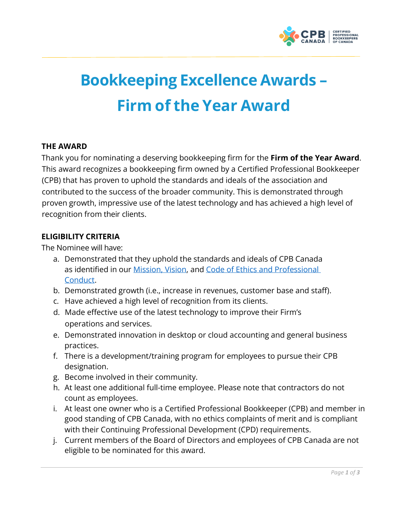

# **Bookkeeping Excellence Awards – Firm of the Year Award**

# **THE AWARD**

Thank you for nominating a deserving bookkeeping firm for the **Firm of the Year Award**. This award recognizes a bookkeeping firm owned by a Certified Professional Bookkeeper (CPB) that has proven to uphold the standards and ideals of the association and contributed to the success of the broader community. This is demonstrated through proven growth, impressive use of the latest technology and has achieved a high level of recognition from their clients.

## **ELIGIBILITY CRITERIA**

The Nominee will have:

- a. Demonstrated that they uphold the standards and ideals of CPB Canada as identified in our [Mission, Vision, a](https://cpbcan.ca/about/about.html)nd [Code of Ethics and Professional](https://cpbcan.ca/about/ethics/code-of-conduct.html)  [Conduct.](https://cpbcan.ca/about/ethics/code-of-conduct.html)
- b. Demonstrated growth (i.e., increase in revenues, customer base and staff).
- c. Have achieved a high level of recognition from its clients.
- d. Made effective use of the latest technology to improve their Firm's operations and services.
- e. Demonstrated innovation in desktop or cloud accounting and general business practices.
- f. There is a development/training program for employees to pursue their CPB designation.
- g. Become involved in their community.
- h. At least one additional full-time employee. Please note that contractors do not count as employees.
- i. At least one owner who is a Certified Professional Bookkeeper (CPB) and member in good standing of CPB Canada, with no ethics complaints of merit and is compliant with their Continuing Professional Development (CPD) requirements.
- j. Current members of the Board of Directors and employees of CPB Canada are not eligible to be nominated for this award.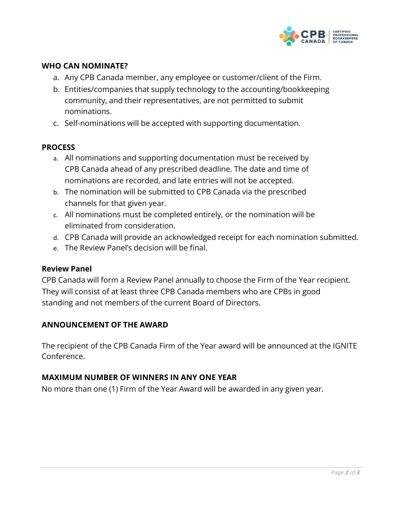

# **WHO CAN NOMINATE?**

- a. Any CPB Canada member, any employee or customer/client of the Firm.
- b. Entities/companies that supply technology to the accounting/bookkeeping community, and their representatives, are not permitted to submit nominations.
- c. Self-nominations will be accepted with supporting documentation.

#### **PROCESS**

- a. All nominations and supporting documentation must be received by CPB Canada ahead of any prescribed deadline. The date and time of nominations are recorded, and late entries will not be accepted.
- b. The nomination will be submitted to CPB Canada via the prescribed channels for that given year.
- c. All nominations must be completed entirely, or the nomination will be eliminated from consideration.
- d. CPB Canada will provide an acknowledged receipt for each nomination submitted.
- e. The Review Panel's decision will be final.

#### **Review Panel**

CPB Canada will form a Review Panel annually to choose the Firm of the Year recipient. They will consist of at least three CPB Canada members who are CPBs in good standing and not members of the current Board of Directors.

#### **ANNOUNCEMENT OF THE AWARD**

The recipient of the CPB Canada Firm of the Year award will be announced at the IGNITE Conference.

## **MAXIMUM NUMBER OF WINNERS IN ANY ONE YEAR**

No more than one (1) Firm of the Year Award will be awarded in any given year.